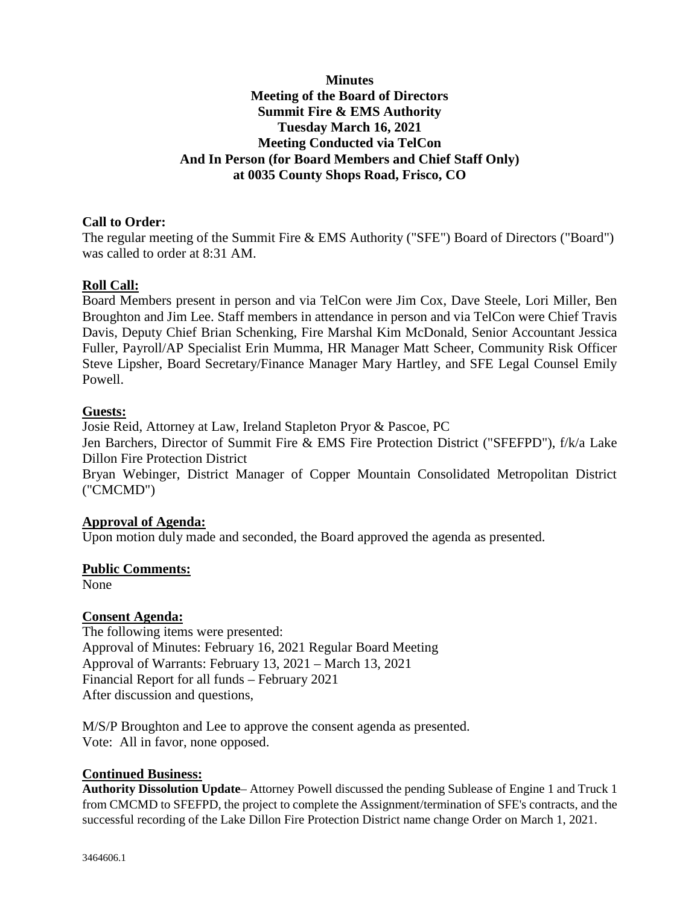# **Minutes Meeting of the Board of Directors Summit Fire & EMS Authority Tuesday March 16, 2021 Meeting Conducted via TelCon And In Person (for Board Members and Chief Staff Only) at 0035 County Shops Road, Frisco, CO**

# **Call to Order:**

The regular meeting of the Summit Fire & EMS Authority ("SFE") Board of Directors ("Board") was called to order at 8:31 AM.

### **Roll Call:**

Board Members present in person and via TelCon were Jim Cox, Dave Steele, Lori Miller, Ben Broughton and Jim Lee. Staff members in attendance in person and via TelCon were Chief Travis Davis, Deputy Chief Brian Schenking, Fire Marshal Kim McDonald, Senior Accountant Jessica Fuller, Payroll/AP Specialist Erin Mumma, HR Manager Matt Scheer, Community Risk Officer Steve Lipsher, Board Secretary/Finance Manager Mary Hartley, and SFE Legal Counsel Emily Powell.

### **Guests:**

Josie Reid, Attorney at Law, Ireland Stapleton Pryor & Pascoe, PC

Jen Barchers, Director of Summit Fire & EMS Fire Protection District ("SFEFPD"), f/k/a Lake Dillon Fire Protection District

Bryan Webinger, District Manager of Copper Mountain Consolidated Metropolitan District ("CMCMD")

### **Approval of Agenda:**

Upon motion duly made and seconded, the Board approved the agenda as presented.

### **Public Comments:**

None

### **Consent Agenda:**

The following items were presented: Approval of Minutes: February 16, 2021 Regular Board Meeting Approval of Warrants: February 13, 2021 – March 13, 2021 Financial Report for all funds – February 2021 After discussion and questions,

M/S/P Broughton and Lee to approve the consent agenda as presented. Vote: All in favor, none opposed.

### **Continued Business:**

**Authority Dissolution Update**– Attorney Powell discussed the pending Sublease of Engine 1 and Truck 1 from CMCMD to SFEFPD, the project to complete the Assignment/termination of SFE's contracts, and the successful recording of the Lake Dillon Fire Protection District name change Order on March 1, 2021.